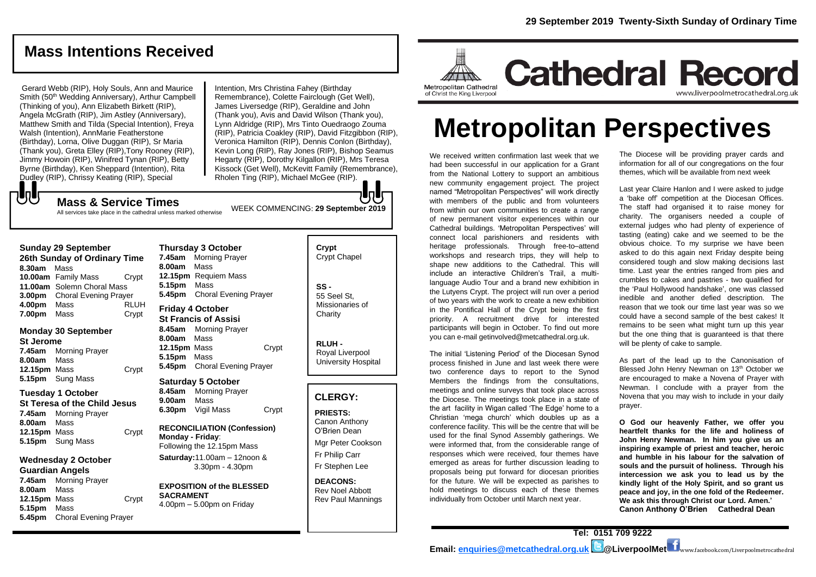# **Mass Intentions Received**

Gerard Webb (RIP), Holy Souls, Ann and Maurice Smith (50<sup>th</sup> Wedding Anniversary), Arthur Campbell (Thinking of you), Ann Elizabeth Birkett (RIP), Angela McGrath (RIP), Jim Astley (Anniversary), Matthew Smith and Tilda (Special Intention), Freya Walsh (Intention), AnnMarie Featherstone (Birthday), Lorna, Olive Duggan (RIP), Sr Maria (Thank you), Greta Elley (RIP),Tony Rooney (RIP), Jimmy Howoin (RIP), Winifred Tynan (RIP), Betty Byrne (Birthday), Ken Sheppard (Intention), Rita Dudley (RIP), Chrissy Keating (RIP), Special

WEEK COMMENCING: **29 September 2019** Intention, Mrs Christina Fahey (Birthday Remembrance), Colette Fairclough (Get Well), James Liversedge (RIP), Geraldine and John (Thank you), Avis and David Wilson (Thank you), Lynn Aldridge (RIP), Mrs Tinto Ouedraogo Zouma (RIP), Patricia Coakley (RIP), David Fitzgibbon (RIP), Veronica Hamilton (RIP), Dennis Conlon (Birthday), Kevin Long (RIP), Ray Jones (RIP), Bishop Seamus Hegarty (RIP), Dorothy Kilgallon (RIP), Mrs Teresa Kissock (Get Well), McKevitt Family (Remembrance), Rholen Ting (RIP), Michael McGee (RIP).

#### もし **Mass & Service Times**

All services take place in the cathedral unless marked otherwise

#### **Sunday 29 September**

**26th Sunday of Ordinary Time 8.30am** Mass **10.00am** Family Mass Crypt **11.00am** Solemn Choral Mass **3.00pm** Choral Evening Prayer **4.00pm** Mass RLUH **7.00pm** Mass Crypt

#### **Monday 30 September St Jerome 7.45am** Morning Prayer

**8.00am** Mass **12.15pm** Mass Crypt **5.15pm** Sung Mass

#### **Tuesday 1 October**

**St Teresa of the Child Jesus 7.45am** Morning Prayer **8.00am** Mass **12.15pm** Mass Crypt **5.15pm** Sung Mass

#### **Wednesday 2 October Guardian Angels**

**7.45am** Morning Prayer **8.00am** Mass **12.15pm** Mass Crypt **5.15pm** Mass **5.45pm** Choral Evening Prayer

#### **Thursday 3 October 7.45am** Morning Prayer **8.00am** Mass

**12.15pm** Requiem Mass **5.15pm** Mass **5.45pm** Choral Evening Prayer

**Friday 4 October St Francis of Assisi 8.45am** Morning Prayer **8.00am** Mass 12.15pm Mass Crypt **5.15pm** Mass **5.45pm** Choral Evening Prayer

#### **Saturday 5 October**

**8.45am** Morning Prayer **9.00am** Mass **6.30pm** Vigil Mass Crypt

#### **RECONCILIATION (Confession) Monday - Friday**: Following the 12.15pm Mass

**Saturday:**11.00am – 12noon & 3.30pm - 4.30pm

#### **EXPOSITION of the BLESSED SACRAMENT**

4.00pm – 5.00pm on Friday

#### **Crypt**  Crypt Chapel

**SS -** 55 Seel St, Missionaries of **Charity** 

**RLUH -** Royal Liverpool University Hospital

#### **CLERGY:**

**PRIESTS:** Canon Anthony O'Brien *Dean* Mgr Peter Cookson Fr Philip Carr

Fr Stephen Lee

**DEACONS:** Rev Noel Abbott Rev Paul Mannings



# **Metropolitan Perspectives**

We received written confirmation last week that we had been successful in our application for a Grant from the National Lottery to support an ambitious new community engagement project. The project named "Metropolitan Perspectives" will work directly with members of the public and from volunteers from within our own communities to create a range of new permanent visitor experiences within our Cathedral buildings. 'Metropolitan Perspectives' will connect local parishioners and residents with heritage professionals. Through free-to–attend workshops and research trips, they will help to shape new additions to the Cathedral. This will include an interactive Children's Trail, a multilanguage Audio Tour and a brand new exhibition in the Lutyens Crypt. The project will run over a period of two years with the work to create a new exhibition in the Pontifical Hall of the Crypt being the first priority. A recruitment drive for interested participants will begin in October. To find out more you can e-mail getinvolved@metcathedral.org.uk.

The initial 'Listening Period' of the Diocesan Synod process finished in June and last week there were two conference days to report to the Synod Members the findings from the consultations, meetings and online surveys that took place across the Diocese. The meetings took place in a state of the art facility in Wigan called 'The Edge' home to a Christian 'mega church' which doubles up as a conference facility. This will be the centre that will be used for the final Synod Assembly gatherings. We were informed that, from the considerable range of responses which were received, four themes have emerged as areas for further discussion leading to proposals being put forward for diocesan priorities for the future. We will be expected as parishes to hold meetings to discuss each of these themes individually from October until March next year.

The Diocese will be providing prayer cards and information for all of our congregations on the four themes, which will be available from next week

Last year Claire Hanlon and I were asked to judge a 'bake off' competition at the Diocesan Offices. The staff had organised it to raise money for charity. The organisers needed a couple of external judges who had plenty of experience of tasting (eating) cake and we seemed to be the obvious choice. To my surprise we have been asked to do this again next Friday despite being considered tough and slow making decisions last time. Last year the entries ranged from pies and crumbles to cakes and pastries - two qualified for the 'Paul Hollywood handshake', one was classed inedible and another defied description. The reason that we took our time last year was so we could have a second sample of the best cakes! It remains to be seen what might turn up this year but the one thing that is guaranteed is that there will be plenty of cake to sample.

As part of the lead up to the Canonisation of Blessed John Henry Newman on 13<sup>th</sup> October we are encouraged to make a Novena of Prayer with Newman. I conclude with a prayer from the Novena that you may wish to include in your daily prayer.

**O God our heavenly Father, we offer you heartfelt thanks for the life and holiness of John Henry Newman. In him you give us an inspiring example of priest and teacher, heroic and humble in his labour for the salvation of souls and the pursuit of holiness. Through his intercession we ask you to lead us by the kindly light of the Holy Spirit, and so grant us peace and joy, in the one fold of the Redeemer. We ask this through Christ our Lord. Amen.' Canon Anthony O'Brien Cathedral Dean**